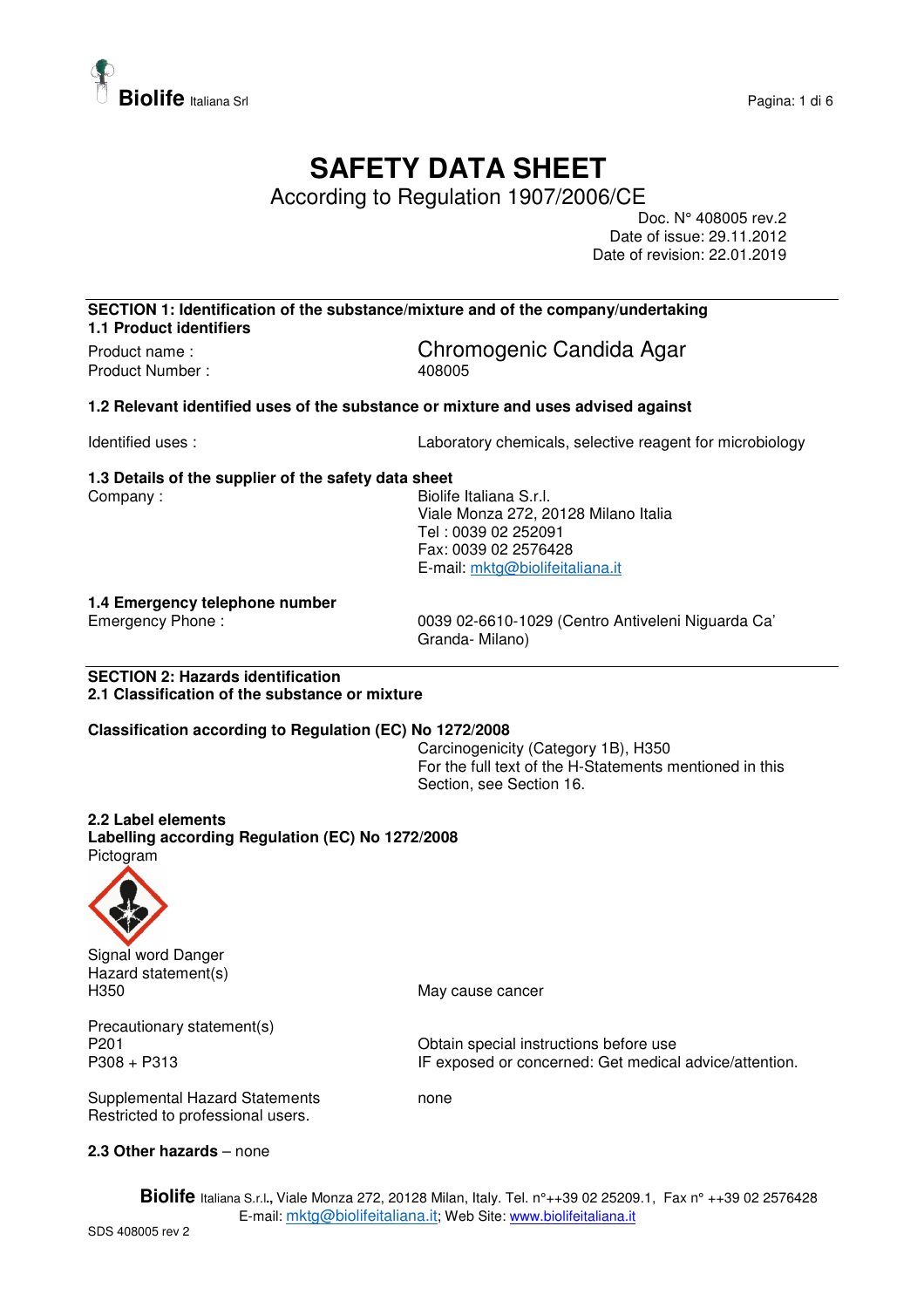

## **SAFETY DATA SHEET**

According to Regulation 1907/2006/CE

Doc. N° 408005 rev.2 Date of issue: 29.11.2012 Date of revision: 22.01.2019

**SECTION 1: Identification of the substance/mixture and of the company/undertaking 1.1 Product identifiers** 

Product Number : 408005

Product name : Chromogenic Candida Agar

**1.2 Relevant identified uses of the substance or mixture and uses advised against** 

Identified uses : Laboratory chemicals, selective reagent for microbiology

### **1.3 Details of the supplier of the safety data sheet**

Company : Georgia Company : Eliabraham Biolife Italiana S.r.l. Viale Monza 272, 20128 Milano Italia Tel : 0039 02 252091 Fax: 0039 02 2576428 E-mail: mktg@biolifeitaliana.it

# **1.4 Emergency telephone number**

0039 02-6610-1029 (Centro Antiveleni Niguarda Ca' Granda- Milano)

**SECTION 2: Hazards identification 2.1 Classification of the substance or mixture** 

#### **Classification according to Regulation (EC) No 1272/2008**

Carcinogenicity (Category 1B), H350 For the full text of the H-Statements mentioned in this Section, see Section 16.

#### **2.2 Label elements**

**Labelling according Regulation (EC) No 1272/2008**  Pictogram



Signal word Danger Hazard statement(s) H350 May cause cancer

Precautionary statement(s)<br>P201

P201 P201 Contain special instructions before use<br>P308 + P313 Fexposed or concerned: Get medica IF exposed or concerned: Get medical advice/attention.

Supplemental Hazard Statements **none** Restricted to professional users.

#### **2.3 Other hazards** – none

**Biolife** Italiana S.r.l**.,** Viale Monza 272, 20128 Milan, Italy. Tel. n°++39 02 25209.1, Fax n° ++39 02 2576428 E-mail: mktg@biolifeitaliana.it; Web Site: www.biolifeitaliana.it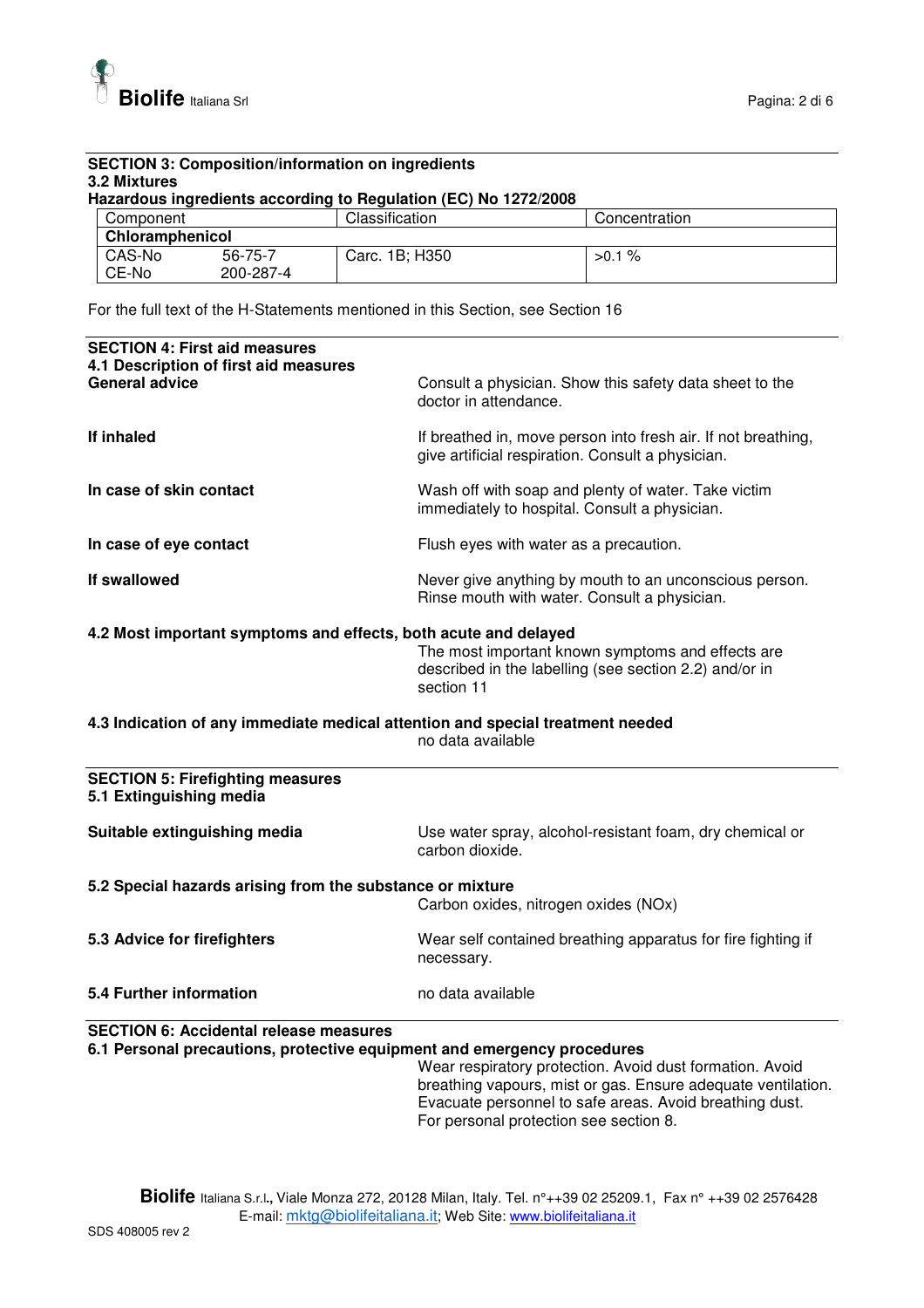

#### **SECTION 3: Composition/information on ingredients 3.2 Mixtures Hazardous ingredients according to Regulation (EC) No 1272/2008**  Component Classification Concentration **Chloramphenicol**

| CAS-No | 56-75-7   | 1B; H350 | %    |
|--------|-----------|----------|------|
| CE-No  | 200-287-4 | Carc.    | >0.1 |
|        |           |          |      |

For the full text of the H-Statements mentioned in this Section, see Section 16

| <b>SECTION 4: First aid measures</b><br>4.1 Description of first aid measures  |                                                                                                                           |  |
|--------------------------------------------------------------------------------|---------------------------------------------------------------------------------------------------------------------------|--|
| <b>General advice</b>                                                          | Consult a physician. Show this safety data sheet to the<br>doctor in attendance.                                          |  |
| If inhaled                                                                     | If breathed in, move person into fresh air. If not breathing,<br>give artificial respiration. Consult a physician.        |  |
| In case of skin contact                                                        | Wash off with soap and plenty of water. Take victim<br>immediately to hospital. Consult a physician.                      |  |
| In case of eye contact                                                         | Flush eyes with water as a precaution.                                                                                    |  |
| If swallowed                                                                   | Never give anything by mouth to an unconscious person.<br>Rinse mouth with water. Consult a physician.                    |  |
| 4.2 Most important symptoms and effects, both acute and delayed                |                                                                                                                           |  |
|                                                                                | The most important known symptoms and effects are<br>described in the labelling (see section 2.2) and/or in<br>section 11 |  |
| 4.3 Indication of any immediate medical attention and special treatment needed | no data available                                                                                                         |  |
| <b>SECTION 5: Firefighting measures</b><br>5.1 Extinguishing media             |                                                                                                                           |  |
| Suitable extinguishing media                                                   | Use water spray, alcohol-resistant foam, dry chemical or<br>carbon dioxide.                                               |  |
| 5.2 Special hazards arising from the substance or mixture                      |                                                                                                                           |  |
|                                                                                | Carbon oxides, nitrogen oxides (NOx)                                                                                      |  |
| 5.3 Advice for firefighters                                                    | Wear self contained breathing apparatus for fire fighting if<br>necessary.                                                |  |
| <b>5.4 Further information</b>                                                 | no data available                                                                                                         |  |
| <b>SECTION 6: Accidental release measures</b>                                  |                                                                                                                           |  |
| 6.1 Personal precautions, protective equipment and emergency procedures        |                                                                                                                           |  |
|                                                                                | Wear respiratory protection. Avoid dust formation. Avoid                                                                  |  |

breathing vapours, mist or gas. Ensure adequate ventilation. Evacuate personnel to safe areas. Avoid breathing dust. For personal protection see section 8.

**Biolife** Italiana S.r.l**.,** Viale Monza 272, 20128 Milan, Italy. Tel. n°++39 02 25209.1, Fax n° ++39 02 2576428 E-mail: mktg@biolifeitaliana.it; Web Site: www.biolifeitaliana.it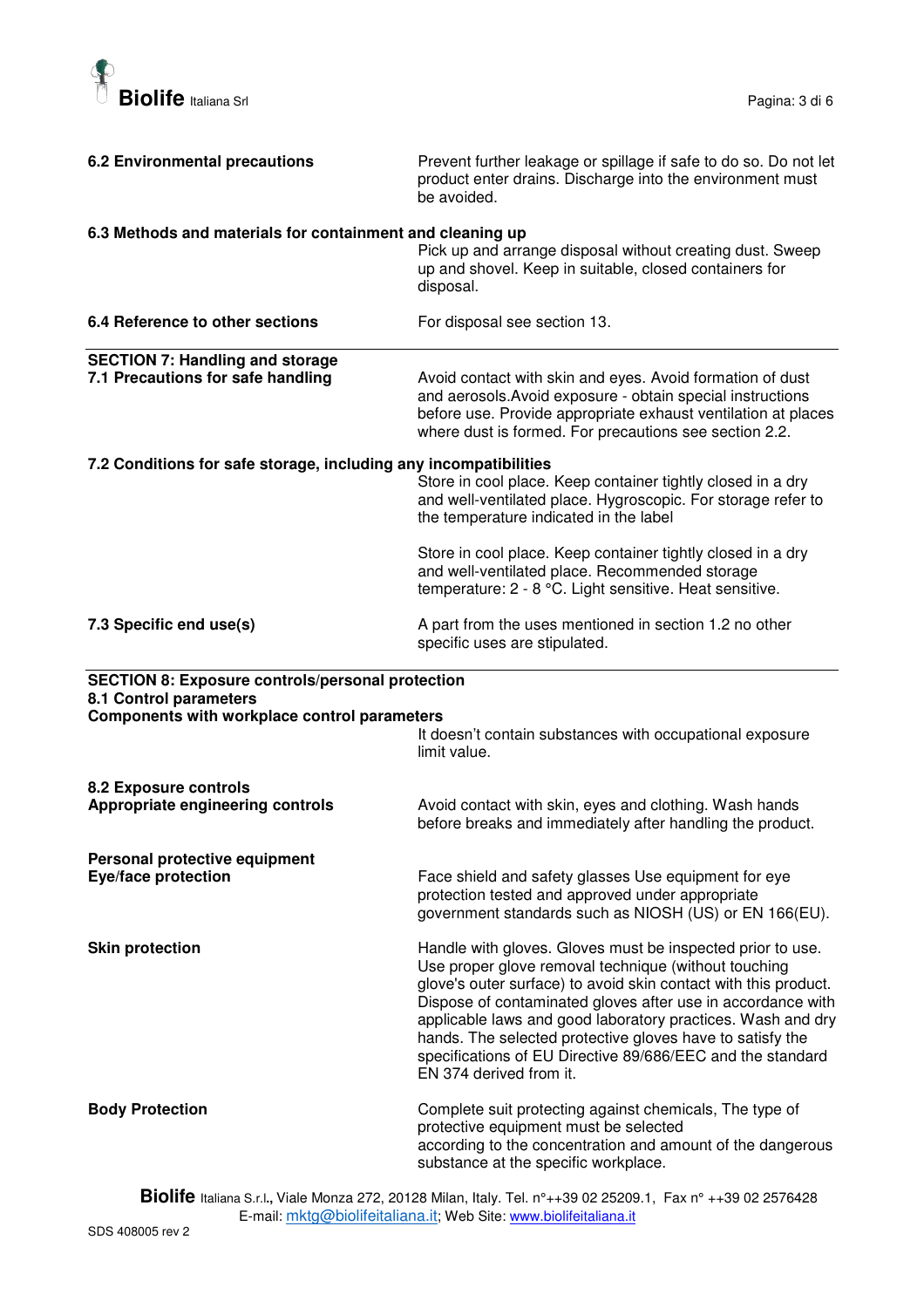

| <b>6.2 Environmental precautions</b>                                        | Prevent further leakage or spillage if safe to do so. Do not let<br>product enter drains. Discharge into the environment must<br>be avoided.                                                                                                                                                                                                                                                                                                                              |
|-----------------------------------------------------------------------------|---------------------------------------------------------------------------------------------------------------------------------------------------------------------------------------------------------------------------------------------------------------------------------------------------------------------------------------------------------------------------------------------------------------------------------------------------------------------------|
| 6.3 Methods and materials for containment and cleaning up                   | Pick up and arrange disposal without creating dust. Sweep<br>up and shovel. Keep in suitable, closed containers for<br>disposal.                                                                                                                                                                                                                                                                                                                                          |
| 6.4 Reference to other sections                                             | For disposal see section 13.                                                                                                                                                                                                                                                                                                                                                                                                                                              |
| <b>SECTION 7: Handling and storage</b><br>7.1 Precautions for safe handling | Avoid contact with skin and eyes. Avoid formation of dust<br>and aerosols. Avoid exposure - obtain special instructions<br>before use. Provide appropriate exhaust ventilation at places<br>where dust is formed. For precautions see section 2.2.                                                                                                                                                                                                                        |
| 7.2 Conditions for safe storage, including any incompatibilities            | Store in cool place. Keep container tightly closed in a dry<br>and well-ventilated place. Hygroscopic. For storage refer to<br>the temperature indicated in the label                                                                                                                                                                                                                                                                                                     |
|                                                                             | Store in cool place. Keep container tightly closed in a dry<br>and well-ventilated place. Recommended storage<br>temperature: 2 - 8 °C. Light sensitive. Heat sensitive.                                                                                                                                                                                                                                                                                                  |
| 7.3 Specific end use(s)                                                     | A part from the uses mentioned in section 1.2 no other<br>specific uses are stipulated.                                                                                                                                                                                                                                                                                                                                                                                   |
| <b>SECTION 8: Exposure controls/personal protection</b>                     |                                                                                                                                                                                                                                                                                                                                                                                                                                                                           |
| 8.1 Control parameters                                                      |                                                                                                                                                                                                                                                                                                                                                                                                                                                                           |
| Components with workplace control parameters                                | It doesn't contain substances with occupational exposure<br>limit value.                                                                                                                                                                                                                                                                                                                                                                                                  |
| 8.2 Exposure controls<br>Appropriate engineering controls                   | Avoid contact with skin, eyes and clothing. Wash hands<br>before breaks and immediately after handling the product.                                                                                                                                                                                                                                                                                                                                                       |
| Personal protective equipment<br>Eye/face protection                        | Face shield and safety glasses Use equipment for eye<br>protection tested and approved under appropriate<br>government standards such as NIOSH (US) or EN 166(EU).                                                                                                                                                                                                                                                                                                        |
| <b>Skin protection</b>                                                      | Handle with gloves. Gloves must be inspected prior to use.<br>Use proper glove removal technique (without touching<br>glove's outer surface) to avoid skin contact with this product.<br>Dispose of contaminated gloves after use in accordance with<br>applicable laws and good laboratory practices. Wash and dry<br>hands. The selected protective gloves have to satisfy the<br>specifications of EU Directive 89/686/EEC and the standard<br>EN 374 derived from it. |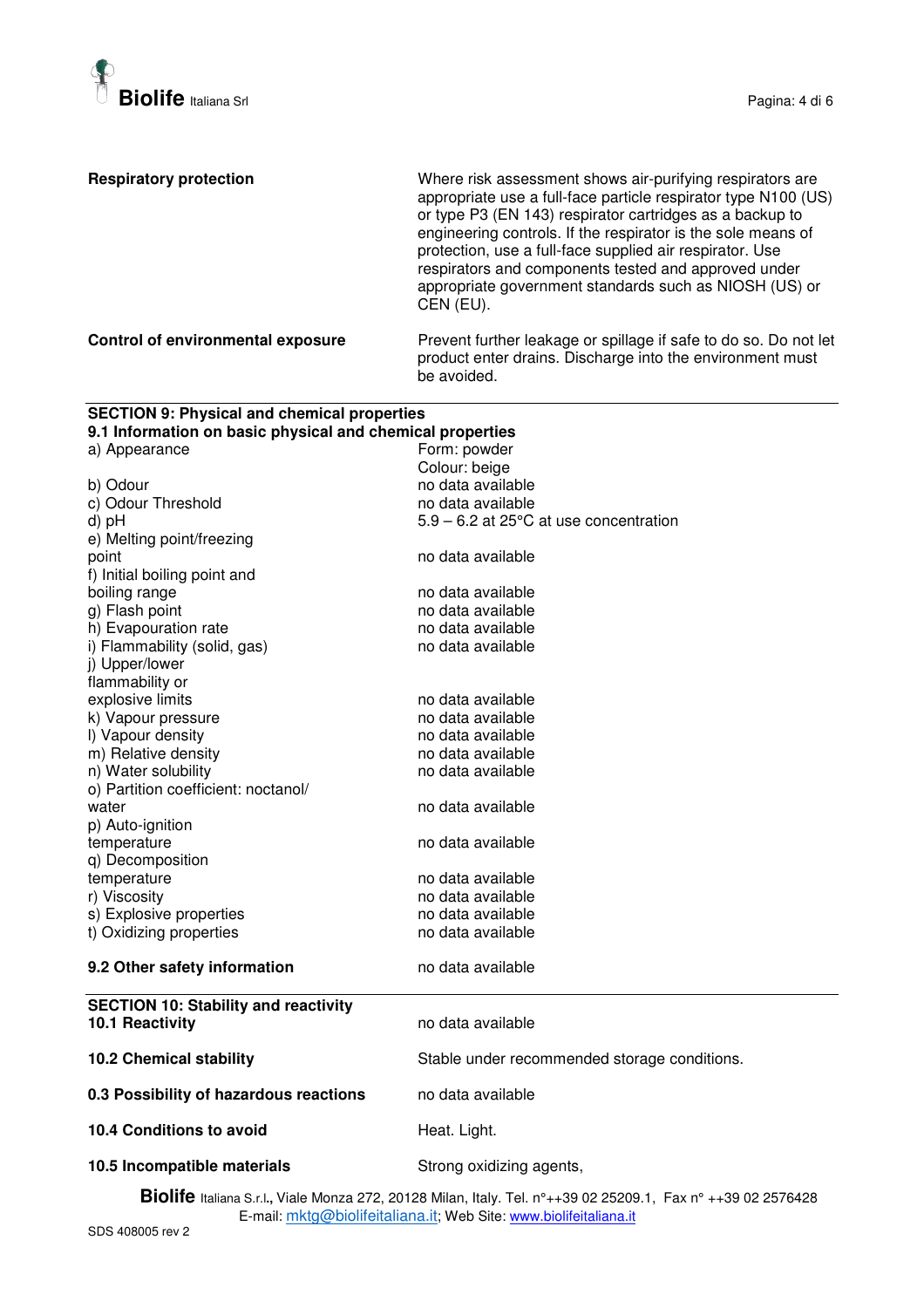

| <b>Respiratory protection</b>                                              | Where risk assessment shows air-purifying respirators are<br>appropriate use a full-face particle respirator type N100 (US)<br>or type P3 (EN 143) respirator cartridges as a backup to<br>engineering controls. If the respirator is the sole means of<br>protection, use a full-face supplied air respirator. Use<br>respirators and components tested and approved under<br>appropriate government standards such as NIOSH (US) or<br>CEN (EU). |
|----------------------------------------------------------------------------|----------------------------------------------------------------------------------------------------------------------------------------------------------------------------------------------------------------------------------------------------------------------------------------------------------------------------------------------------------------------------------------------------------------------------------------------------|
| Control of environmental exposure                                          | Prevent further leakage or spillage if safe to do so. Do not let<br>product enter drains. Discharge into the environment must<br>be avoided.                                                                                                                                                                                                                                                                                                       |
| <b>SECTION 9: Physical and chemical properties</b>                         |                                                                                                                                                                                                                                                                                                                                                                                                                                                    |
| 9.1 Information on basic physical and chemical properties<br>a) Appearance | Form: powder                                                                                                                                                                                                                                                                                                                                                                                                                                       |
|                                                                            | Colour: beige                                                                                                                                                                                                                                                                                                                                                                                                                                      |
| b) Odour                                                                   | no data available                                                                                                                                                                                                                                                                                                                                                                                                                                  |
| c) Odour Threshold                                                         | no data available                                                                                                                                                                                                                                                                                                                                                                                                                                  |
| d) pH                                                                      | $5.9 - 6.2$ at 25 $\degree$ C at use concentration                                                                                                                                                                                                                                                                                                                                                                                                 |
| e) Melting point/freezing                                                  |                                                                                                                                                                                                                                                                                                                                                                                                                                                    |
| point                                                                      | no data available                                                                                                                                                                                                                                                                                                                                                                                                                                  |
| f) Initial boiling point and                                               |                                                                                                                                                                                                                                                                                                                                                                                                                                                    |
| boiling range                                                              | no data available                                                                                                                                                                                                                                                                                                                                                                                                                                  |
| g) Flash point                                                             | no data available                                                                                                                                                                                                                                                                                                                                                                                                                                  |
| h) Evapouration rate                                                       | no data available                                                                                                                                                                                                                                                                                                                                                                                                                                  |
| i) Flammability (solid, gas)                                               | no data available                                                                                                                                                                                                                                                                                                                                                                                                                                  |
| j) Upper/lower<br>flammability or                                          |                                                                                                                                                                                                                                                                                                                                                                                                                                                    |
| explosive limits                                                           | no data available                                                                                                                                                                                                                                                                                                                                                                                                                                  |
| k) Vapour pressure                                                         | no data available                                                                                                                                                                                                                                                                                                                                                                                                                                  |
| I) Vapour density                                                          | no data available                                                                                                                                                                                                                                                                                                                                                                                                                                  |
| m) Relative density                                                        | no data available                                                                                                                                                                                                                                                                                                                                                                                                                                  |
| n) Water solubility                                                        | no data available                                                                                                                                                                                                                                                                                                                                                                                                                                  |
| o) Partition coefficient: noctanol/                                        |                                                                                                                                                                                                                                                                                                                                                                                                                                                    |
| water                                                                      | no data available                                                                                                                                                                                                                                                                                                                                                                                                                                  |
| p) Auto-ignition                                                           |                                                                                                                                                                                                                                                                                                                                                                                                                                                    |
| temperature                                                                | no data available                                                                                                                                                                                                                                                                                                                                                                                                                                  |
| q) Decomposition                                                           |                                                                                                                                                                                                                                                                                                                                                                                                                                                    |
| temperature                                                                | no data available                                                                                                                                                                                                                                                                                                                                                                                                                                  |
| r) Viscosity<br>s) Explosive properties                                    | no data available<br>no data available                                                                                                                                                                                                                                                                                                                                                                                                             |
| t) Oxidizing properties                                                    | no data available                                                                                                                                                                                                                                                                                                                                                                                                                                  |
|                                                                            |                                                                                                                                                                                                                                                                                                                                                                                                                                                    |
| 9.2 Other safety information                                               | no data available                                                                                                                                                                                                                                                                                                                                                                                                                                  |
| <b>SECTION 10: Stability and reactivity</b>                                |                                                                                                                                                                                                                                                                                                                                                                                                                                                    |
| 10.1 Reactivity                                                            | no data available                                                                                                                                                                                                                                                                                                                                                                                                                                  |
| <b>10.2 Chemical stability</b>                                             | Stable under recommended storage conditions.                                                                                                                                                                                                                                                                                                                                                                                                       |
| 0.3 Possibility of hazardous reactions                                     | no data available                                                                                                                                                                                                                                                                                                                                                                                                                                  |
| 10.4 Conditions to avoid                                                   | Heat. Light.                                                                                                                                                                                                                                                                                                                                                                                                                                       |
| 10.5 Incompatible materials                                                | Strong oxidizing agents,                                                                                                                                                                                                                                                                                                                                                                                                                           |

**Biolife** Italiana S.r.l**.,** Viale Monza 272, 20128 Milan, Italy. Tel. n°++39 02 25209.1, Fax n° ++39 02 2576428 E-mail: <u>mktg@biolifeitaliana.it;</u> Web Site: www.biolifeitaliana.it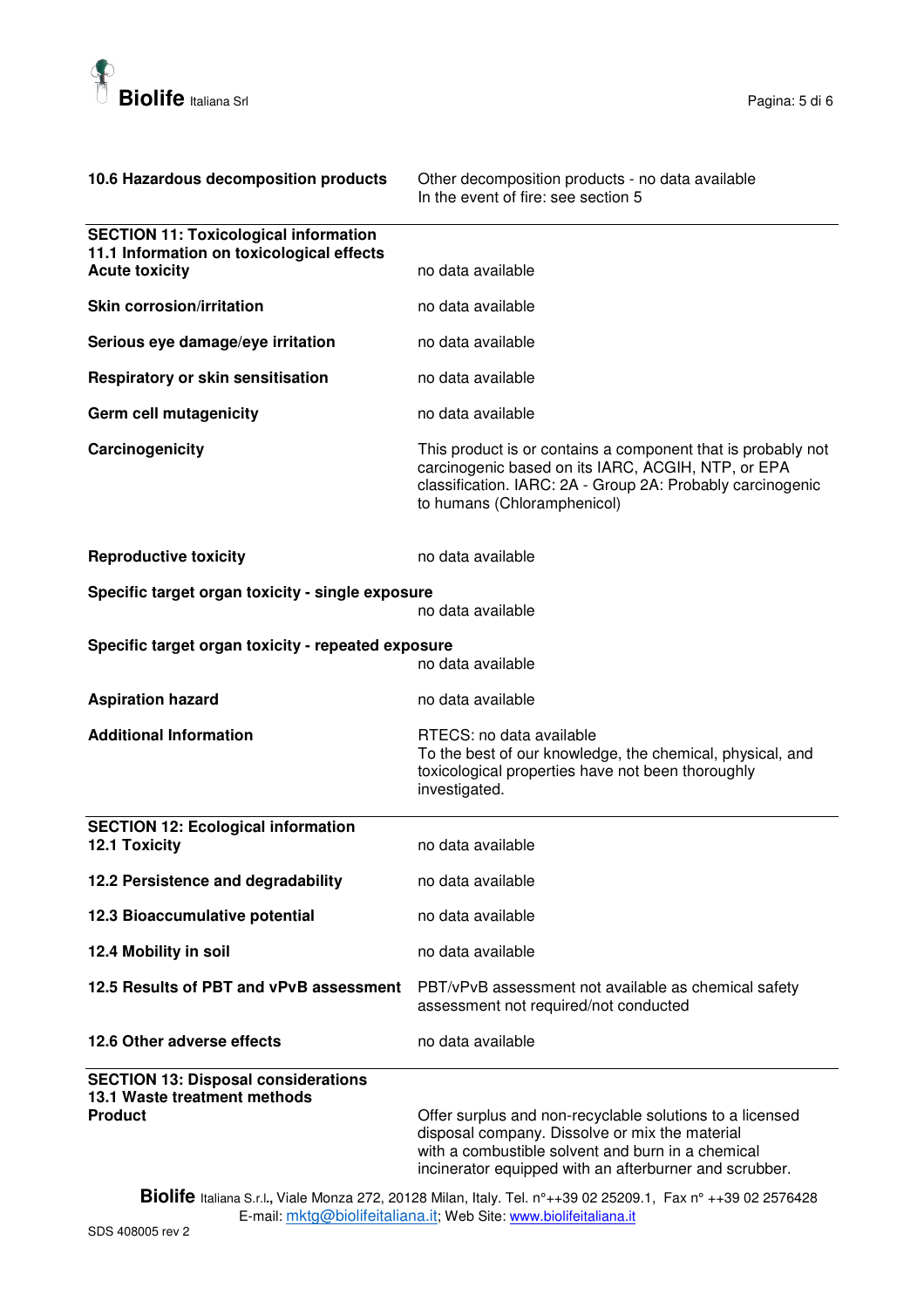

| 10.6 Hazardous decomposition products                                                        | Other decomposition products - no data available<br>In the event of fire: see section 5                                                                                                                                   |
|----------------------------------------------------------------------------------------------|---------------------------------------------------------------------------------------------------------------------------------------------------------------------------------------------------------------------------|
| <b>SECTION 11: Toxicological information</b><br>11.1 Information on toxicological effects    |                                                                                                                                                                                                                           |
| <b>Acute toxicity</b>                                                                        | no data available                                                                                                                                                                                                         |
| <b>Skin corrosion/irritation</b>                                                             | no data available                                                                                                                                                                                                         |
| Serious eye damage/eye irritation                                                            | no data available                                                                                                                                                                                                         |
| Respiratory or skin sensitisation                                                            | no data available                                                                                                                                                                                                         |
| <b>Germ cell mutagenicity</b>                                                                | no data available                                                                                                                                                                                                         |
| Carcinogenicity                                                                              | This product is or contains a component that is probably not<br>carcinogenic based on its IARC, ACGIH, NTP, or EPA<br>classification. IARC: 2A - Group 2A: Probably carcinogenic<br>to humans (Chloramphenicol)           |
| <b>Reproductive toxicity</b>                                                                 | no data available                                                                                                                                                                                                         |
| Specific target organ toxicity - single exposure                                             |                                                                                                                                                                                                                           |
|                                                                                              | no data available                                                                                                                                                                                                         |
| Specific target organ toxicity - repeated exposure                                           | no data available                                                                                                                                                                                                         |
| <b>Aspiration hazard</b>                                                                     | no data available                                                                                                                                                                                                         |
| <b>Additional Information</b>                                                                | RTECS: no data available<br>To the best of our knowledge, the chemical, physical, and<br>toxicological properties have not been thoroughly<br>investigated.                                                               |
| <b>SECTION 12: Ecological information</b><br>12.1 Toxicity                                   | no data available                                                                                                                                                                                                         |
| 12.2 Persistence and degradability                                                           | no data available                                                                                                                                                                                                         |
| 12.3 Bioaccumulative potential                                                               | no data available                                                                                                                                                                                                         |
| 12.4 Mobility in soil                                                                        | no data available                                                                                                                                                                                                         |
| 12.5 Results of PBT and vPvB assessment                                                      | PBT/vPvB assessment not available as chemical safety<br>assessment not required/not conducted                                                                                                                             |
| 12.6 Other adverse effects                                                                   | no data available                                                                                                                                                                                                         |
| <b>SECTION 13: Disposal considerations</b><br>13.1 Waste treatment methods<br><b>Product</b> | Offer surplus and non-recyclable solutions to a licensed<br>disposal company. Dissolve or mix the material<br>with a combustible solvent and burn in a chemical<br>incinerator equipped with an afterburner and scrubber. |

**Biolife** Italiana S.r.l**.,** Viale Monza 272, 20128 Milan, Italy. Tel. n°++39 02 25209.1, Fax n° ++39 02 2576428 E-mail: <u>mktg@biolifeitaliana.it;</u> Web Site: www.biolifeitaliana.it